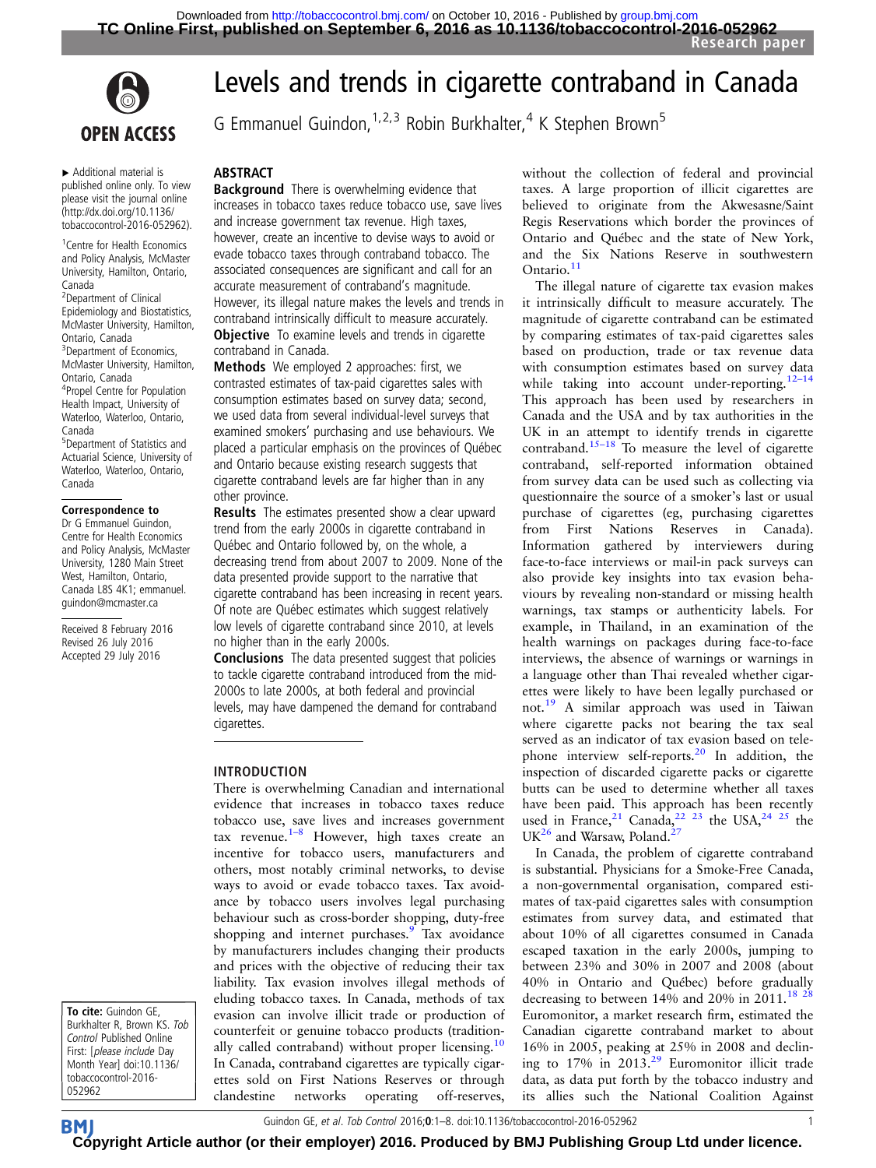

▸ Additional material is published online only. To view please visit the journal online [\(http://dx.doi.org/10.1136/](http://dx.doi.org/10.1136/tobaccocontrol-2016-052962) [tobaccocontrol-2016-052962\)](http://dx.doi.org/10.1136/tobaccocontrol-2016-052962).

1 Centre for Health Economics and Policy Analysis, McMaster University, Hamilton, Ontario, Canada

<sup>2</sup>Department of Clinical Epidemiology and Biostatistics, McMaster University, Hamilton, Ontario, Canada <sup>3</sup> Department of Economics, McMaster University, Hamilton, Ontario, Canada 4 Propel Centre for Population Health Impact, University of Waterloo, Waterloo, Ontario, Canada 5 Department of Statistics and

Actuarial Science, University of Waterloo, Waterloo, Ontario, Canada

#### Correspondence to

Dr G Emmanuel Guindon, Centre for Health Economics and Policy Analysis, McMaster University, 1280 Main Street West, Hamilton, Ontario, Canada L8S 4K1; emmanuel. guindon@mcmaster.ca

Received 8 February 2016 Revised 26 July 2016 Accepted 29 July 2016

To cite: Guindon GE, Burkhalter R, Brown KS. Tob Control Published Online First: [please include Day Month Year] doi:10.1136/ tobaccocontrol-2016- 052962

## Levels and trends in cigarette contraband in Canada

G Emmanuel Guindon,  $1,2,3$  Robin Burkhalter, <sup>4</sup> K Stephen Brown<sup>5</sup>

#### ABSTRACT

**Background** There is overwhelming evidence that increases in tobacco taxes reduce tobacco use, save lives and increase government tax revenue. High taxes, however, create an incentive to devise ways to avoid or evade tobacco taxes through contraband tobacco. The associated consequences are significant and call for an accurate measurement of contraband's magnitude. However, its illegal nature makes the levels and trends in contraband intrinsically difficult to measure accurately. **Objective** To examine levels and trends in cigarette contraband in Canada.

Methods We employed 2 approaches: first, we contrasted estimates of tax-paid cigarettes sales with consumption estimates based on survey data; second, we used data from several individual-level surveys that examined smokers' purchasing and use behaviours. We placed a particular emphasis on the provinces of Québec and Ontario because existing research suggests that cigarette contraband levels are far higher than in any other province.

Results The estimates presented show a clear upward trend from the early 2000s in cigarette contraband in Québec and Ontario followed by, on the whole, a decreasing trend from about 2007 to 2009. None of the data presented provide support to the narrative that cigarette contraband has been increasing in recent years. Of note are Québec estimates which suggest relatively low levels of cigarette contraband since 2010, at levels no higher than in the early 2000s.

Conclusions The data presented suggest that policies to tackle cigarette contraband introduced from the mid-2000s to late 2000s, at both federal and provincial levels, may have dampened the demand for contraband cigarettes.

#### INTRODUCTION

There is overwhelming Canadian and international evidence that increases in tobacco taxes reduce tobacco use, save lives and increases government tax revenue.<sup>1–[8](#page-7-0)</sup> However, high taxes create an incentive for tobacco users, manufacturers and others, most notably criminal networks, to devise ways to avoid or evade tobacco taxes. Tax avoidance by tobacco users involves legal purchasing behaviour such as cross-border shopping, duty-free shopping and internet purchases.<sup>[9](#page-7-0)</sup> Tax avoidance by manufacturers includes changing their products and prices with the objective of reducing their tax liability. Tax evasion involves illegal methods of eluding tobacco taxes. In Canada, methods of tax evasion can involve illicit trade or production of counterfeit or genuine tobacco products (tradition-ally called contraband) without proper licensing.<sup>[10](#page-7-0)</sup> In Canada, contraband cigarettes are typically cigarettes sold on First Nations Reserves or through clandestine networks operating off-reserves,

without the collection of federal and provincial taxes. A large proportion of illicit cigarettes are believed to originate from the Akwesasne/Saint Regis Reservations which border the provinces of Ontario and Québec and the state of New York, and the Six Nations Reserve in southwestern Ontario.<sup>[11](#page-7-0)</sup>

The illegal nature of cigarette tax evasion makes it intrinsically difficult to measure accurately. The magnitude of cigarette contraband can be estimated by comparing estimates of tax-paid cigarettes sales based on production, trade or tax revenue data with consumption estimates based on survey data while taking into account under-reporting.<sup>[12](#page-7-0)-14</sup> This approach has been used by researchers in Canada and the USA and by tax authorities in the UK in an attempt to identify trends in cigarette contraband.<sup>15–[18](#page-7-0)</sup> To measure the level of cigarette contraband, self-reported information obtained from survey data can be used such as collecting via questionnaire the source of a smoker's last or usual purchase of cigarettes (eg, purchasing cigarettes from First Nations Reserves in Canada). Information gathered by interviewers during face-to-face interviews or mail-in pack surveys can also provide key insights into tax evasion behaviours by revealing non-standard or missing health warnings, tax stamps or authenticity labels. For example, in Thailand, in an examination of the health warnings on packages during face-to-face interviews, the absence of warnings or warnings in a language other than Thai revealed whether cigarettes were likely to have been legally purchased or not.[19](#page-7-0) A similar approach was used in Taiwan where cigarette packs not bearing the tax seal served as an indicator of tax evasion based on telephone interview self-reports.[20](#page-7-0) In addition, the inspection of discarded cigarette packs or cigarette butts can be used to determine whether all taxes have been paid. This approach has been recently used in France,  $21$  Canada,  $22$   $23$  the USA,  $24$   $25$  the  $UK<sup>26</sup>$  $UK<sup>26</sup>$  $UK<sup>26</sup>$  and Warsaw, Poland.<sup>27</sup>

In Canada, the problem of cigarette contraband is substantial. Physicians for a Smoke-Free Canada, a non-governmental organisation, compared estimates of tax-paid cigarettes sales with consumption estimates from survey data, and estimated that about 10% of all cigarettes consumed in Canada escaped taxation in the early 2000s, jumping to between 23% and 30% in 2007 and 2008 (about 40% in Ontario and Québec) before gradually decreasing to between 14% and 20% in 2011.<sup>18 2</sup> Euromonitor, a market research firm, estimated the Canadian cigarette contraband market to about 16% in 2005, peaking at 25% in 2008 and declining to  $17\%$  in  $2013<sup>29</sup>$  $2013<sup>29</sup>$  $2013<sup>29</sup>$  Euromonitor illicit trade data, as data put forth by the tobacco industry and its allies such the National Coalition Against

Guindon GE, et al. Tob Control 2016;0:1-8. doi:10.1136/tobaccocontrol-2016-052962 1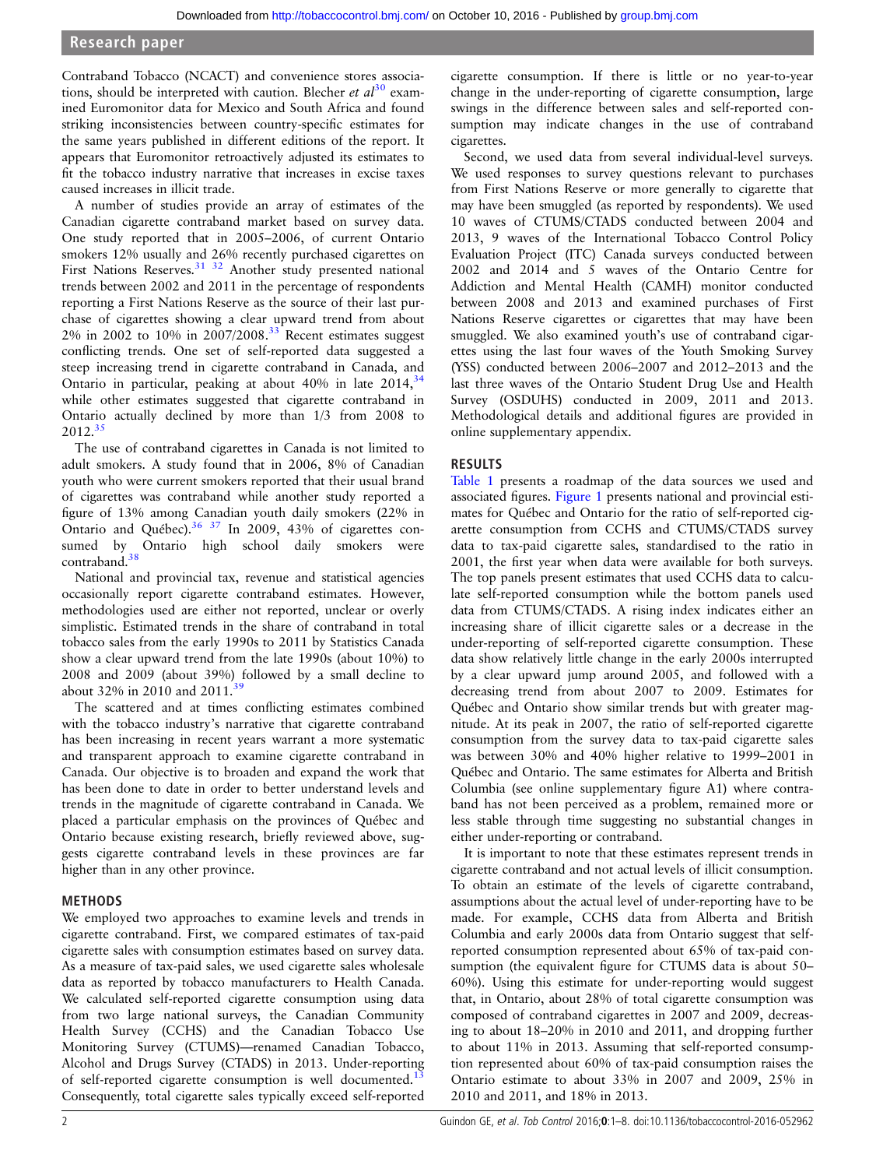Contraband Tobacco (NCACT) and convenience stores associations, should be interpreted with caution. Blecher et  $al^{30}$  $al^{30}$  $al^{30}$  examined Euromonitor data for Mexico and South Africa and found striking inconsistencies between country-specific estimates for the same years published in different editions of the report. It appears that Euromonitor retroactively adjusted its estimates to fit the tobacco industry narrative that increases in excise taxes caused increases in illicit trade.

A number of studies provide an array of estimates of the Canadian cigarette contraband market based on survey data. One study reported that in 2005–2006, of current Ontario smokers 12% usually and 26% recently purchased cigarettes on First Nations Reserves.<sup>31</sup> <sup>32</sup> Another study presented national trends between 2002 and 2011 in the percentage of respondents reporting a First Nations Reserve as the source of their last purchase of cigarettes showing a clear upward trend from about  $2\%$  in 2002 to 10% in  $2007/2008.^{33}$  $2007/2008.^{33}$  $2007/2008.^{33}$  Recent estimates suggest conflicting trends. One set of self-reported data suggested a steep increasing trend in cigarette contraband in Canada, and Ontario in particular, peaking at about 40% in late 2014,<sup>34</sup> while other estimates suggested that cigarette contraband in Ontario actually declined by more than 1/3 from 2008 to 2012[.35](#page-7-0)

The use of contraband cigarettes in Canada is not limited to adult smokers. A study found that in 2006, 8% of Canadian youth who were current smokers reported that their usual brand of cigarettes was contraband while another study reported a figure of 13% among Canadian youth daily smokers (22% in Ontario and Québec)[.36 37](#page-7-0) In 2009, 43% of cigarettes consumed by Ontario high school daily smokers were contraband.<sup>38</sup>

National and provincial tax, revenue and statistical agencies occasionally report cigarette contraband estimates. However, methodologies used are either not reported, unclear or overly simplistic. Estimated trends in the share of contraband in total tobacco sales from the early 1990s to 2011 by Statistics Canada show a clear upward trend from the late 1990s (about 10%) to 2008 and 2009 (about 39%) followed by a small decline to about 32% in 2010 and 2011.<sup>[39](#page-7-0)</sup>

The scattered and at times conflicting estimates combined with the tobacco industry's narrative that cigarette contraband has been increasing in recent years warrant a more systematic and transparent approach to examine cigarette contraband in Canada. Our objective is to broaden and expand the work that has been done to date in order to better understand levels and trends in the magnitude of cigarette contraband in Canada. We placed a particular emphasis on the provinces of Québec and Ontario because existing research, briefly reviewed above, suggests cigarette contraband levels in these provinces are far higher than in any other province.

#### METHODS

We employed two approaches to examine levels and trends in cigarette contraband. First, we compared estimates of tax-paid cigarette sales with consumption estimates based on survey data. As a measure of tax-paid sales, we used cigarette sales wholesale data as reported by tobacco manufacturers to Health Canada. We calculated self-reported cigarette consumption using data from two large national surveys, the Canadian Community Health Survey (CCHS) and the Canadian Tobacco Use Monitoring Survey (CTUMS)—renamed Canadian Tobacco, Alcohol and Drugs Survey (CTADS) in 2013. Under-reporting of self-reported cigarette consumption is well documented.<sup>13</sup> Consequently, total cigarette sales typically exceed self-reported

cigarette consumption. If there is little or no year-to-year change in the under-reporting of cigarette consumption, large swings in the difference between sales and self-reported consumption may indicate changes in the use of contraband cigarettes.

Second, we used data from several individual-level surveys. We used responses to survey questions relevant to purchases from First Nations Reserve or more generally to cigarette that may have been smuggled (as reported by respondents). We used 10 waves of CTUMS/CTADS conducted between 2004 and 2013, 9 waves of the International Tobacco Control Policy Evaluation Project (ITC) Canada surveys conducted between 2002 and 2014 and 5 waves of the Ontario Centre for Addiction and Mental Health (CAMH) monitor conducted between 2008 and 2013 and examined purchases of First Nations Reserve cigarettes or cigarettes that may have been smuggled. We also examined youth's use of contraband cigarettes using the last four waves of the Youth Smoking Survey (YSS) conducted between 2006–2007 and 2012–2013 and the last three waves of the Ontario Student Drug Use and Health Survey (OSDUHS) conducted in 2009, 2011 and 2013. Methodological details and additional figures are provided in online supplementary appendix.

#### RESULTS

[Table 1](#page-2-0) presents a roadmap of the data sources we used and associated figures. [Figure 1](#page-2-0) presents national and provincial estimates for Québec and Ontario for the ratio of self-reported cigarette consumption from CCHS and CTUMS/CTADS survey data to tax-paid cigarette sales, standardised to the ratio in 2001, the first year when data were available for both surveys. The top panels present estimates that used CCHS data to calculate self-reported consumption while the bottom panels used data from CTUMS/CTADS. A rising index indicates either an increasing share of illicit cigarette sales or a decrease in the under-reporting of self-reported cigarette consumption. These data show relatively little change in the early 2000s interrupted by a clear upward jump around 2005, and followed with a decreasing trend from about 2007 to 2009. Estimates for Québec and Ontario show similar trends but with greater magnitude. At its peak in 2007, the ratio of self-reported cigarette consumption from the survey data to tax-paid cigarette sales was between 30% and 40% higher relative to 1999–2001 in Québec and Ontario. The same estimates for Alberta and British Columbia (see online supplementary figure A1) where contraband has not been perceived as a problem, remained more or less stable through time suggesting no substantial changes in either under-reporting or contraband.

It is important to note that these estimates represent trends in cigarette contraband and not actual levels of illicit consumption. To obtain an estimate of the levels of cigarette contraband, assumptions about the actual level of under-reporting have to be made. For example, CCHS data from Alberta and British Columbia and early 2000s data from Ontario suggest that selfreported consumption represented about 65% of tax-paid consumption (the equivalent figure for CTUMS data is about 50– 60%). Using this estimate for under-reporting would suggest that, in Ontario, about 28% of total cigarette consumption was composed of contraband cigarettes in 2007 and 2009, decreasing to about 18–20% in 2010 and 2011, and dropping further to about 11% in 2013. Assuming that self-reported consumption represented about 60% of tax-paid consumption raises the Ontario estimate to about 33% in 2007 and 2009, 25% in 2010 and 2011, and 18% in 2013.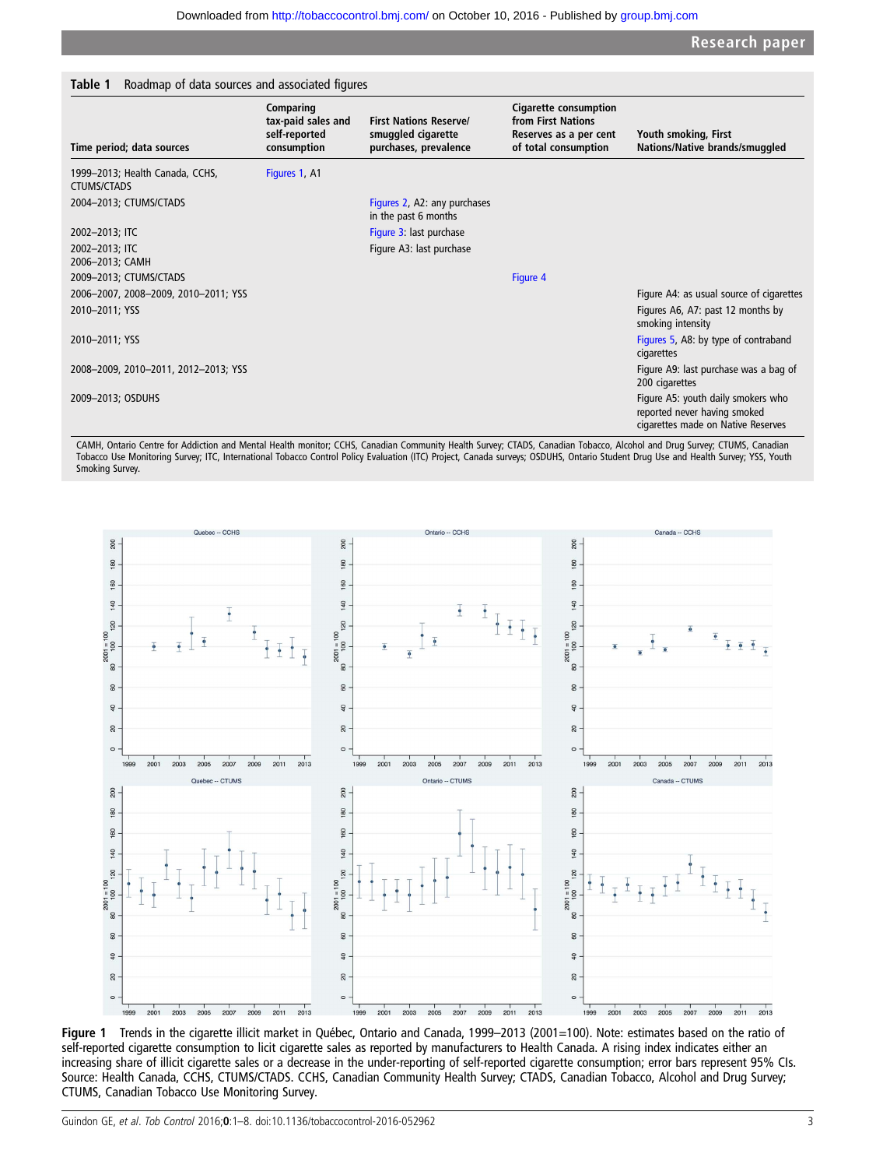<span id="page-2-0"></span>

| Time period; data sources                             | Comparing<br>tax-paid sales and<br>self-reported<br>consumption | <b>First Nations Reserve/</b><br>smuggled cigarette<br>purchases, prevalence | <b>Cigarette consumption</b><br>from First Nations<br>Reserves as a per cent<br>of total consumption | Youth smoking, First<br>Nations/Native brands/smuggled                                                   |
|-------------------------------------------------------|-----------------------------------------------------------------|------------------------------------------------------------------------------|------------------------------------------------------------------------------------------------------|----------------------------------------------------------------------------------------------------------|
| 1999-2013; Health Canada, CCHS,<br><b>CTUMS/CTADS</b> | Figures 1, A1                                                   |                                                                              |                                                                                                      |                                                                                                          |
| 2004-2013; CTUMS/CTADS                                |                                                                 | Figures 2, A2: any purchases<br>in the past 6 months                         |                                                                                                      |                                                                                                          |
| 2002-2013; ITC                                        |                                                                 | Figure 3: last purchase                                                      |                                                                                                      |                                                                                                          |
| 2002-2013; ITC<br>2006-2013; CAMH                     |                                                                 | Figure A3: last purchase                                                     |                                                                                                      |                                                                                                          |
| 2009-2013; CTUMS/CTADS                                |                                                                 |                                                                              | Figure 4                                                                                             |                                                                                                          |
| 2006-2007, 2008-2009, 2010-2011; YSS                  |                                                                 |                                                                              |                                                                                                      | Figure A4: as usual source of cigarettes                                                                 |
| 2010-2011; YSS                                        |                                                                 |                                                                              |                                                                                                      | Figures A6, A7: past 12 months by<br>smoking intensity                                                   |
| 2010-2011; YSS                                        |                                                                 |                                                                              |                                                                                                      | Figures 5, A8: by type of contraband<br>cigarettes                                                       |
| 2008-2009, 2010-2011, 2012-2013; YSS                  |                                                                 |                                                                              |                                                                                                      | Figure A9: last purchase was a bag of<br>200 cigarettes                                                  |
| 2009-2013; OSDUHS                                     |                                                                 |                                                                              |                                                                                                      | Figure A5: youth daily smokers who<br>reported never having smoked<br>cigarettes made on Native Reserves |

CAMH, Ontario Centre for Addiction and Mental Health monitor; CCHS, Canadian Community Health Survey; CTADS, Canadian Tobacco, Alcohol and Drug Survey; CTUMS, Canadian Tobacco Use Monitoring Survey; ITC, International Tobacco Control Policy Evaluation (ITC) Project, Canada surveys; OSDUHS, Ontario Student Drug Use and Health Survey; YSS, Youth Smoking Survey.



Figure 1 Trends in the cigarette illicit market in Québec, Ontario and Canada, 1999–2013 (2001=100). Note: estimates based on the ratio of self-reported cigarette consumption to licit cigarette sales as reported by manufacturers to Health Canada. A rising index indicates either an increasing share of illicit cigarette sales or a decrease in the under-reporting of self-reported cigarette consumption; error bars represent 95% CIs. Source: Health Canada, CCHS, CTUMS/CTADS. CCHS, Canadian Community Health Survey; CTADS, Canadian Tobacco, Alcohol and Drug Survey; CTUMS, Canadian Tobacco Use Monitoring Survey.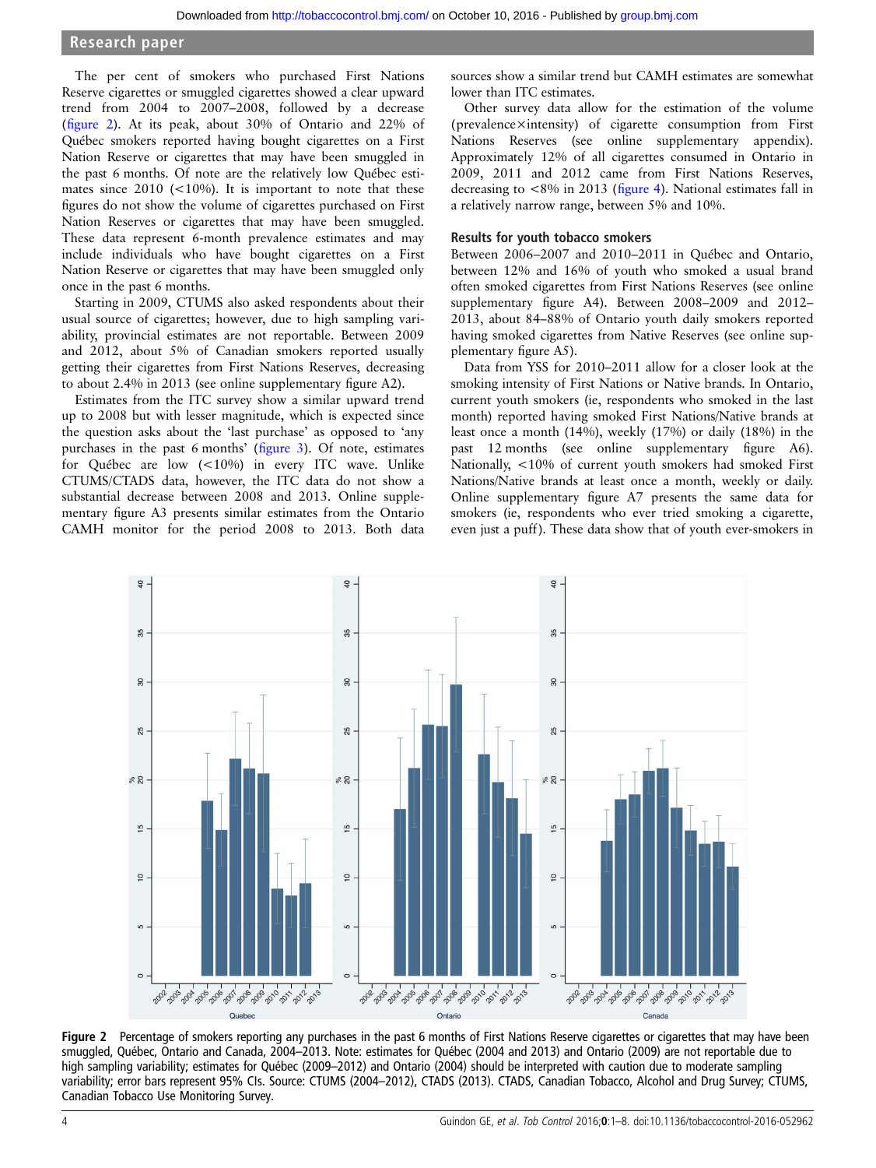<span id="page-3-0"></span>The per cent of smokers who purchased First Nations Reserve cigarettes or smuggled cigarettes showed a clear upward trend from 2004 to 2007–2008, followed by a decrease (figure 2). At its peak, about 30% of Ontario and 22% of Québec smokers reported having bought cigarettes on a First Nation Reserve or cigarettes that may have been smuggled in the past 6 months. Of note are the relatively low Québec estimates since  $2010$  (<10%). It is important to note that these figures do not show the volume of cigarettes purchased on First Nation Reserves or cigarettes that may have been smuggled. These data represent 6-month prevalence estimates and may include individuals who have bought cigarettes on a First Nation Reserve or cigarettes that may have been smuggled only once in the past 6 months.

Starting in 2009, CTUMS also asked respondents about their usual source of cigarettes; however, due to high sampling variability, provincial estimates are not reportable. Between 2009 and 2012, about 5% of Canadian smokers reported usually getting their cigarettes from First Nations Reserves, decreasing to about 2.4% in 2013 (see online supplementary figure A2).

Estimates from the ITC survey show a similar upward trend up to 2008 but with lesser magnitude, which is expected since the question asks about the 'last purchase' as opposed to 'any purchases in the past 6 months' (fi[gure 3\)](#page-4-0). Of note, estimates for Québec are low (<10%) in every ITC wave. Unlike CTUMS/CTADS data, however, the ITC data do not show a substantial decrease between 2008 and 2013. Online supplementary figure A3 presents similar estimates from the Ontario CAMH monitor for the period 2008 to 2013. Both data

sources show a similar trend but CAMH estimates are somewhat lower than ITC estimates.

Other survey data allow for the estimation of the volume (prevalence×intensity) of cigarette consumption from First Nations Reserves (see online supplementary appendix). Approximately 12% of all cigarettes consumed in Ontario in 2009, 2011 and 2012 came from First Nations Reserves, decreasing to <8% in 2013 (fi[gure 4\)](#page-4-0). National estimates fall in a relatively narrow range, between 5% and 10%.

#### Results for youth tobacco smokers

Between 2006–2007 and 2010–2011 in Québec and Ontario, between 12% and 16% of youth who smoked a usual brand often smoked cigarettes from First Nations Reserves (see online [supplementary](http://dx.doi.org/10.1136/tobaccocontrol-2016-052962) figure A4). Between 2008–2009 and 2012– 2013, about 84–88% of Ontario youth daily smokers reported having smoked cigarettes from Native Reserves (see online supplementary figure A5).

Data from YSS for 2010–2011 allow for a closer look at the smoking intensity of First Nations or Native brands. In Ontario, current youth smokers (ie, respondents who smoked in the last month) reported having smoked First Nations/Native brands at least once a month (14%), weekly (17%) or daily (18%) in the past 12 months (see online [supplementary](http://dx.doi.org/10.1136/tobaccocontrol-2016-052962) figure A6). Nationally, <10% of current youth smokers had smoked First Nations/Native brands at least once a month, weekly or daily. Online [supplementary](http://dx.doi.org/10.1136/tobaccocontrol-2016-052962) figure A7 presents the same data for smokers (ie, respondents who ever tried smoking a cigarette, even just a puff). These data show that of youth ever-smokers in



Figure 2 Percentage of smokers reporting any purchases in the past 6 months of First Nations Reserve cigarettes or cigarettes that may have been smuggled, Québec, Ontario and Canada, 2004–2013. Note: estimates for Québec (2004 and 2013) and Ontario (2009) are not reportable due to high sampling variability; estimates for Québec (2009–2012) and Ontario (2004) should be interpreted with caution due to moderate sampling variability; error bars represent 95% CIs. Source: CTUMS (2004–2012), CTADS (2013). CTADS, Canadian Tobacco, Alcohol and Drug Survey; CTUMS, Canadian Tobacco Use Monitoring Survey.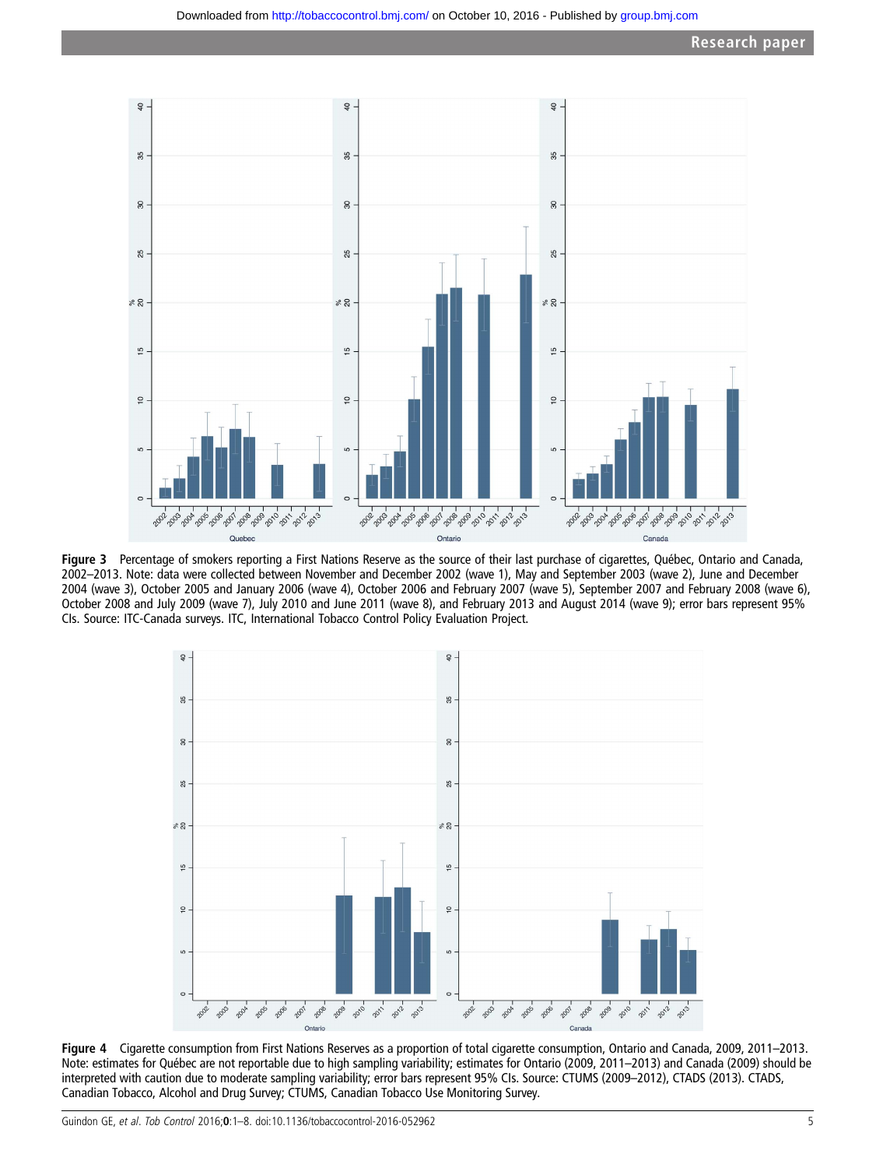<span id="page-4-0"></span>

Figure 3 Percentage of smokers reporting a First Nations Reserve as the source of their last purchase of cigarettes, Québec, Ontario and Canada, 2002–2013. Note: data were collected between November and December 2002 (wave 1), May and September 2003 (wave 2), June and December 2004 (wave 3), October 2005 and January 2006 (wave 4), October 2006 and February 2007 (wave 5), September 2007 and February 2008 (wave 6), October 2008 and July 2009 (wave 7), July 2010 and June 2011 (wave 8), and February 2013 and August 2014 (wave 9); error bars represent 95% CIs. Source: ITC-Canada surveys. ITC, International Tobacco Control Policy Evaluation Project.



Figure 4 Cigarette consumption from First Nations Reserves as a proportion of total cigarette consumption, Ontario and Canada, 2009, 2011–2013. Note: estimates for Québec are not reportable due to high sampling variability; estimates for Ontario (2009, 2011–2013) and Canada (2009) should be interpreted with caution due to moderate sampling variability; error bars represent 95% CIs. Source: CTUMS (2009–2012), CTADS (2013). CTADS, Canadian Tobacco, Alcohol and Drug Survey; CTUMS, Canadian Tobacco Use Monitoring Survey.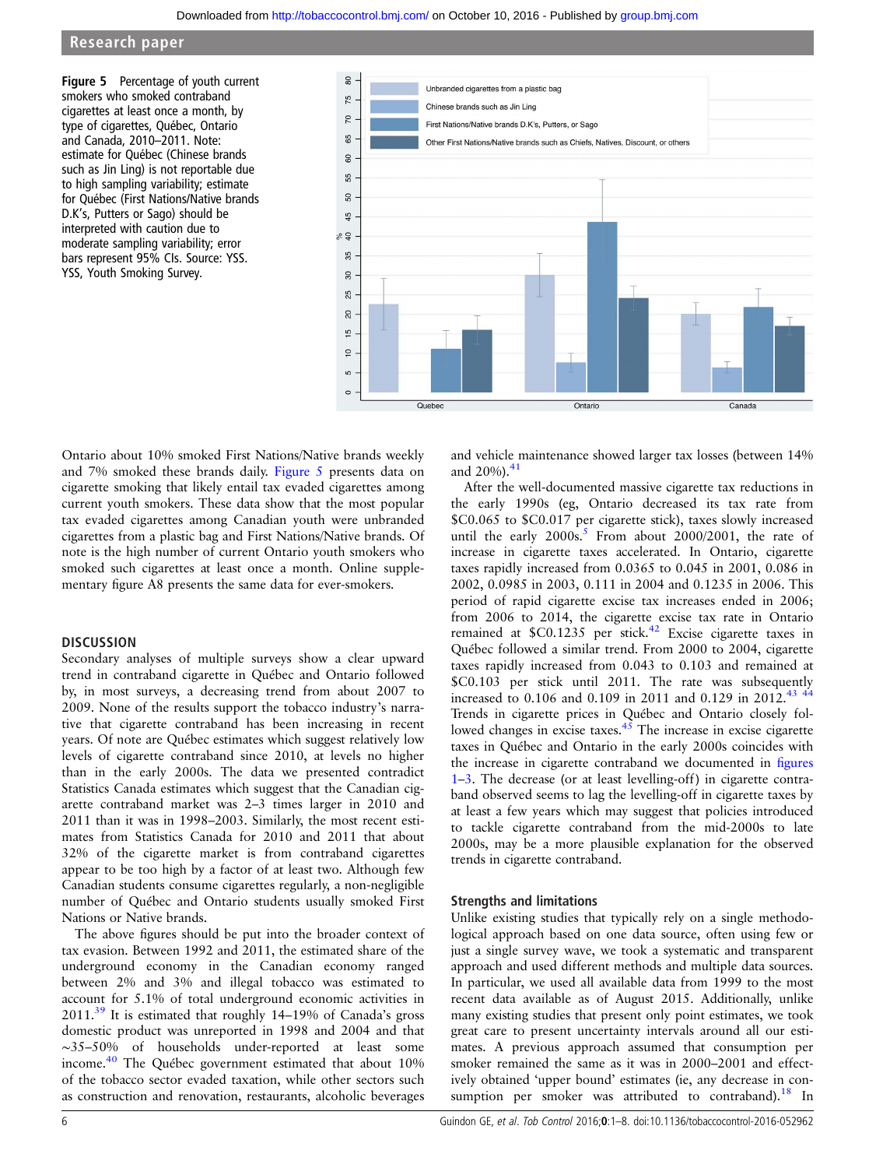<span id="page-5-0"></span>Figure 5 Percentage of youth current smokers who smoked contraband cigarettes at least once a month, by type of cigarettes, Québec, Ontario and Canada, 2010–2011. Note: estimate for Québec (Chinese brands such as Jin Ling) is not reportable due to high sampling variability; estimate for Québec (First Nations/Native brands D.K's, Putters or Sago) should be interpreted with caution due to moderate sampling variability; error bars represent 95% CIs. Source: YSS. YSS, Youth Smoking Survey.



Ontario about 10% smoked First Nations/Native brands weekly and 7% smoked these brands daily. Figure 5 presents data on cigarette smoking that likely entail tax evaded cigarettes among current youth smokers. These data show that the most popular tax evaded cigarettes among Canadian youth were unbranded cigarettes from a plastic bag and First Nations/Native brands. Of note is the high number of current Ontario youth smokers who smoked such cigarettes at least once a month. Online supplementary figure A8 presents the same data for ever-smokers.

#### **DISCUSSION**

Secondary analyses of multiple surveys show a clear upward trend in contraband cigarette in Québec and Ontario followed by, in most surveys, a decreasing trend from about 2007 to 2009. None of the results support the tobacco industry's narrative that cigarette contraband has been increasing in recent years. Of note are Québec estimates which suggest relatively low levels of cigarette contraband since 2010, at levels no higher than in the early 2000s. The data we presented contradict Statistics Canada estimates which suggest that the Canadian cigarette contraband market was 2–3 times larger in 2010 and 2011 than it was in 1998–2003. Similarly, the most recent estimates from Statistics Canada for 2010 and 2011 that about 32% of the cigarette market is from contraband cigarettes appear to be too high by a factor of at least two. Although few Canadian students consume cigarettes regularly, a non-negligible number of Québec and Ontario students usually smoked First Nations or Native brands.

The above figures should be put into the broader context of tax evasion. Between 1992 and 2011, the estimated share of the underground economy in the Canadian economy ranged between 2% and 3% and illegal tobacco was estimated to account for 5.1% of total underground economic activities in  $2011<sup>39</sup>$  It is estimated that roughly 14–19% of Canada's gross domestic product was unreported in 1998 and 2004 and that ∼35–50% of households under-reported at least some income[.40](#page-7-0) The Québec government estimated that about 10% of the tobacco sector evaded taxation, while other sectors such as construction and renovation, restaurants, alcoholic beverages

and vehicle maintenance showed larger tax losses (between 14% and  $20\%$ ).<sup>[41](#page-7-0)</sup>

After the well-documented massive cigarette tax reductions in the early 1990s (eg, Ontario decreased its tax rate from \$C0.065 to \$C0.017 per cigarette stick), taxes slowly increased until the early  $2000s^5$ . From about 2000/2001, the rate of increase in cigarette taxes accelerated. In Ontario, cigarette taxes rapidly increased from 0.0365 to 0.045 in 2001, 0.086 in 2002, 0.0985 in 2003, 0.111 in 2004 and 0.1235 in 2006. This period of rapid cigarette excise tax increases ended in 2006; from 2006 to 2014, the cigarette excise tax rate in Ontario remained at  $$C0.1235$  per stick.<sup>[42](#page-7-0)</sup> Excise cigarette taxes in Québec followed a similar trend. From 2000 to 2004, cigarette taxes rapidly increased from 0.043 to 0.103 and remained at \$C0.103 per stick until 2011. The rate was subsequently increased to 0.106 and 0.109 in 2011 and 0.129 in 2012.[43 44](#page-7-0) Trends in cigarette prices in Québec and Ontario closely followed changes in excise taxes. $45$  The increase in excise cigarette taxes in Québec and Ontario in the early 2000s coincides with the increase in cigarette contraband we documented in fi[gures](#page-2-0) [1](#page-2-0)–[3](#page-4-0). The decrease (or at least levelling-off) in cigarette contraband observed seems to lag the levelling-off in cigarette taxes by at least a few years which may suggest that policies introduced to tackle cigarette contraband from the mid-2000s to late 2000s, may be a more plausible explanation for the observed trends in cigarette contraband.

#### Strengths and limitations

Unlike existing studies that typically rely on a single methodological approach based on one data source, often using few or just a single survey wave, we took a systematic and transparent approach and used different methods and multiple data sources. In particular, we used all available data from 1999 to the most recent data available as of August 2015. Additionally, unlike many existing studies that present only point estimates, we took great care to present uncertainty intervals around all our estimates. A previous approach assumed that consumption per smoker remained the same as it was in 2000–2001 and effectively obtained 'upper bound' estimates (ie, any decrease in consumption per smoker was attributed to contraband).<sup>18</sup> In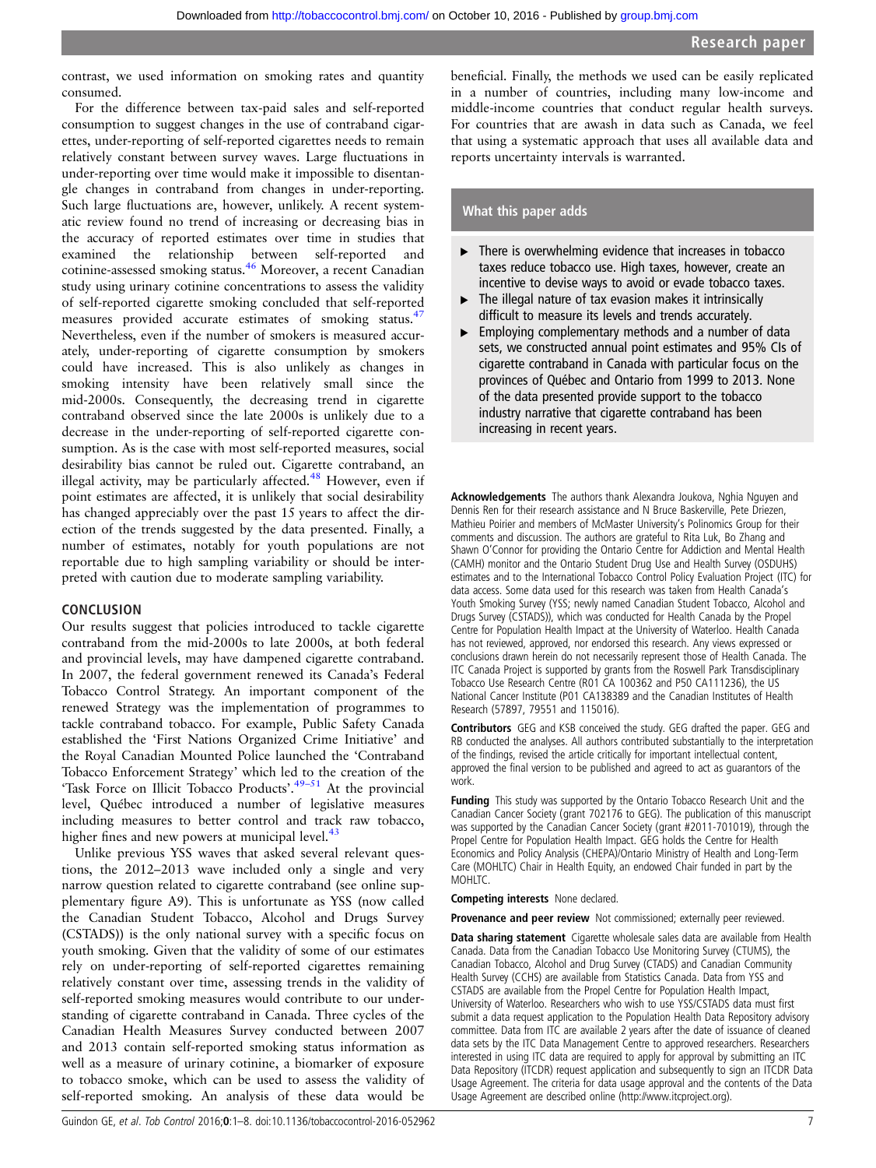contrast, we used information on smoking rates and quantity consumed.

For the difference between tax-paid sales and self-reported consumption to suggest changes in the use of contraband cigarettes, under-reporting of self-reported cigarettes needs to remain relatively constant between survey waves. Large fluctuations in under-reporting over time would make it impossible to disentangle changes in contraband from changes in under-reporting. Such large fluctuations are, however, unlikely. A recent systematic review found no trend of increasing or decreasing bias in the accuracy of reported estimates over time in studies that examined the relationship between self-reported and cotinine-assessed smoking status.[46](#page-7-0) Moreover, a recent Canadian study using urinary cotinine concentrations to assess the validity of self-reported cigarette smoking concluded that self-reported measures provided accurate estimates of smoking status.<sup>47</sup> Nevertheless, even if the number of smokers is measured accurately, under-reporting of cigarette consumption by smokers could have increased. This is also unlikely as changes in smoking intensity have been relatively small since the mid-2000s. Consequently, the decreasing trend in cigarette contraband observed since the late 2000s is unlikely due to a decrease in the under-reporting of self-reported cigarette consumption. As is the case with most self-reported measures, social desirability bias cannot be ruled out. Cigarette contraband, an illegal activity, may be particularly affected.<sup>[48](#page-7-0)</sup> However, even if point estimates are affected, it is unlikely that social desirability has changed appreciably over the past 15 years to affect the direction of the trends suggested by the data presented. Finally, a number of estimates, notably for youth populations are not reportable due to high sampling variability or should be interpreted with caution due to moderate sampling variability.

#### **CONCLUSION**

Our results suggest that policies introduced to tackle cigarette contraband from the mid-2000s to late 2000s, at both federal and provincial levels, may have dampened cigarette contraband. In 2007, the federal government renewed its Canada's Federal Tobacco Control Strategy. An important component of the renewed Strategy was the implementation of programmes to tackle contraband tobacco. For example, Public Safety Canada established the 'First Nations Organized Crime Initiative' and the Royal Canadian Mounted Police launched the 'Contraband Tobacco Enforcement Strategy' which led to the creation of the 'Task Force on Illicit Tobacco Products'.<sup>[49](#page-7-0)-51</sup> At the provincial level, Québec introduced a number of legislative measures including measures to better control and track raw tobacco, higher fines and new powers at municipal level. $43$ 

Unlike previous YSS waves that asked several relevant questions, the 2012–2013 wave included only a single and very narrow question related to cigarette contraband (see online supplementary figure A9). This is unfortunate as YSS (now called the Canadian Student Tobacco, Alcohol and Drugs Survey (CSTADS)) is the only national survey with a specific focus on youth smoking. Given that the validity of some of our estimates rely on under-reporting of self-reported cigarettes remaining relatively constant over time, assessing trends in the validity of self-reported smoking measures would contribute to our understanding of cigarette contraband in Canada. Three cycles of the Canadian Health Measures Survey conducted between 2007 and 2013 contain self-reported smoking status information as well as a measure of urinary cotinine, a biomarker of exposure to tobacco smoke, which can be used to assess the validity of self-reported smoking. An analysis of these data would be

beneficial. Finally, the methods we used can be easily replicated in a number of countries, including many low-income and middle-income countries that conduct regular health surveys. For countries that are awash in data such as Canada, we feel that using a systematic approach that uses all available data and reports uncertainty intervals is warranted.

#### What this paper adds

- $\blacktriangleright$  There is overwhelming evidence that increases in tobacco taxes reduce tobacco use. High taxes, however, create an incentive to devise ways to avoid or evade tobacco taxes.
- The illegal nature of tax evasion makes it intrinsically difficult to measure its levels and trends accurately.
- ▸ Employing complementary methods and a number of data sets, we constructed annual point estimates and 95% CIs of cigarette contraband in Canada with particular focus on the provinces of Québec and Ontario from 1999 to 2013. None of the data presented provide support to the tobacco industry narrative that cigarette contraband has been increasing in recent years.

Acknowledgements The authors thank Alexandra Joukova, Nghia Nguyen and Dennis Ren for their research assistance and N Bruce Baskerville, Pete Driezen, Mathieu Poirier and members of McMaster University's Polinomics Group for their comments and discussion. The authors are grateful to Rita Luk, Bo Zhang and Shawn O'Connor for providing the Ontario Centre for Addiction and Mental Health (CAMH) monitor and the Ontario Student Drug Use and Health Survey (OSDUHS) estimates and to the International Tobacco Control Policy Evaluation Project (ITC) for data access. Some data used for this research was taken from Health Canada's Youth Smoking Survey (YSS; newly named Canadian Student Tobacco, Alcohol and Drugs Survey (CSTADS)), which was conducted for Health Canada by the Propel Centre for Population Health Impact at the University of Waterloo. Health Canada has not reviewed, approved, nor endorsed this research. Any views expressed or conclusions drawn herein do not necessarily represent those of Health Canada. The ITC Canada Project is supported by grants from the Roswell Park Transdisciplinary Tobacco Use Research Centre (R01 CA 100362 and P50 CA111236), the US National Cancer Institute (P01 CA138389 and the Canadian Institutes of Health Research (57897, 79551 and 115016).

Contributors GEG and KSB conceived the study. GEG drafted the paper. GEG and RB conducted the analyses. All authors contributed substantially to the interpretation of the findings, revised the article critically for important intellectual content, approved the final version to be published and agreed to act as guarantors of the work.

Funding This study was supported by the Ontario Tobacco Research Unit and the Canadian Cancer Society (grant 702176 to GEG). The publication of this manuscript was supported by the Canadian Cancer Society (grant #2011-701019), through the Propel Centre for Population Health Impact. GEG holds the Centre for Health Economics and Policy Analysis (CHEPA)/Ontario Ministry of Health and Long-Term Care (MOHLTC) Chair in Health Equity, an endowed Chair funded in part by the MOHLTC.

Competing interests None declared.

Provenance and peer review Not commissioned; externally peer reviewed.

Data sharing statement Cigarette wholesale sales data are available from Health Canada. Data from the Canadian Tobacco Use Monitoring Survey (CTUMS), the Canadian Tobacco, Alcohol and Drug Survey (CTADS) and Canadian Community Health Survey (CCHS) are available from Statistics Canada. Data from YSS and CSTADS are available from the Propel Centre for Population Health Impact, University of Waterloo. Researchers who wish to use YSS/CSTADS data must first submit a data request application to the Population Health Data Repository advisory committee. Data from ITC are available 2 years after the date of issuance of cleaned data sets by the ITC Data Management Centre to approved researchers. Researchers interested in using ITC data are required to apply for approval by submitting an ITC Data Repository (ITCDR) request application and subsequently to sign an ITCDR Data Usage Agreement. The criteria for data usage approval and the contents of the Data Usage Agreement are described online (<http://www.itcproject.org>).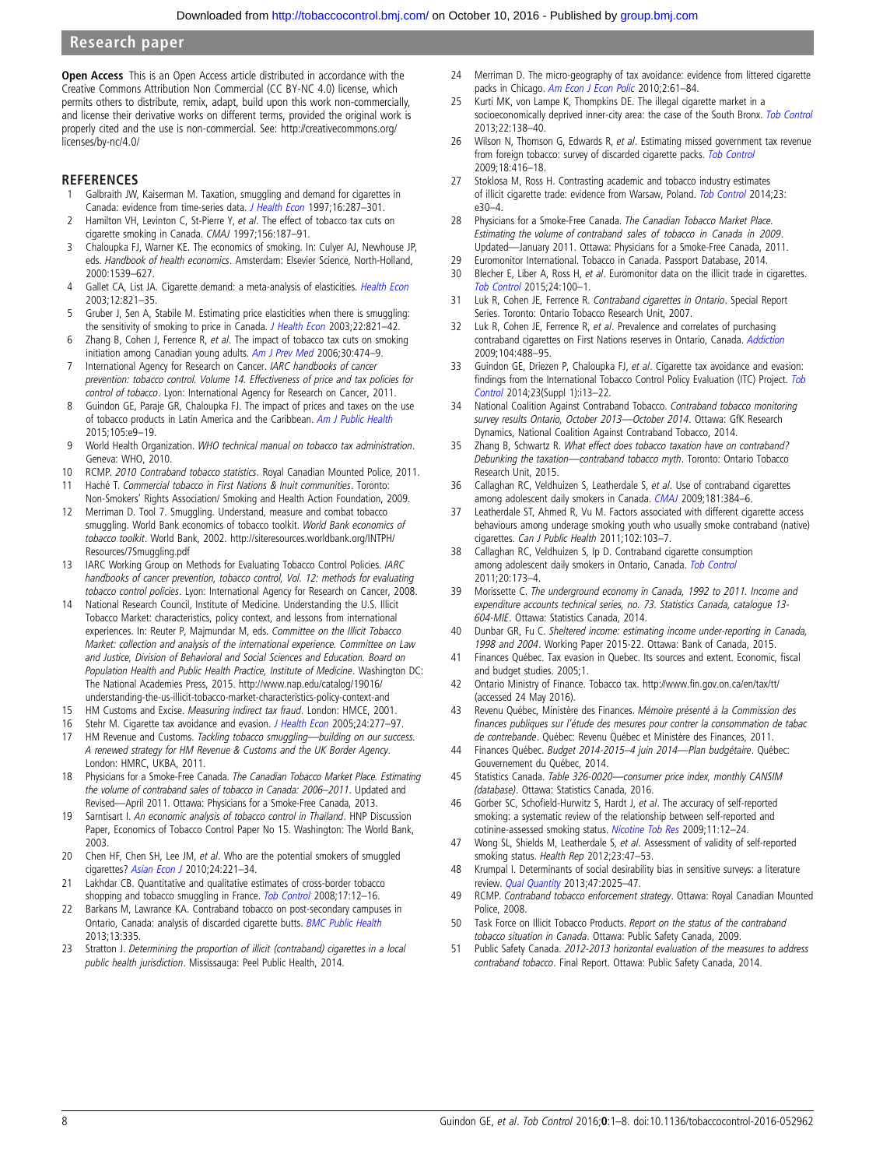<span id="page-7-0"></span>Open Access This is an Open Access article distributed in accordance with the Creative Commons Attribution Non Commercial (CC BY-NC 4.0) license, which permits others to distribute, remix, adapt, build upon this work non-commercially, and license their derivative works on different terms, provided the original work is properly cited and the use is non-commercial. See: [http://creativecommons.org/](http://creativecommons.org/licenses/by-nc/4.0/) [licenses/by-nc/4.0/](http://creativecommons.org/licenses/by-nc/4.0/)

#### **REFERENCES**

- 1 Galbraith JW, Kaiserman M. Taxation, smuggling and demand for cigarettes in Canada: evidence from time-series data. [J Health Econ](http://dx.doi.org/10.1016/S0167-6296(96)00525-5) 1997;16:287-301.
- 2 Hamilton VH, Levinton C, St-Pierre Y, et al. The effect of tobacco tax cuts on cigarette smoking in Canada. CMAJ 1997;156:187–91.
- 3 Chaloupka FJ, Warner KE. The economics of smoking. In: Culyer AJ, Newhouse JP, eds. Handbook of health economics. Amsterdam: Elsevier Science, North-Holland, 2000:1539–627.
- 4 Gallet CA, List JA. Cigarette demand: a meta-analysis of elasticities. [Health Econ](http://dx.doi.org/10.1002/hec.765) 2003;12:821–35.
- 5 Gruber J, Sen A, Stabile M. Estimating price elasticities when there is smuggling: the sensitivity of smoking to price in Canada. [J Health Econ](http://dx.doi.org/10.1016/S0167-6296(03)00058-4) 2003;22:821-42.
- 6 Zhang B, Cohen J, Ferrence R, et al. The impact of tobacco tax cuts on smoking initiation among Canadian young adults. [Am J Prev Med](http://dx.doi.org/10.1016/j.amepre.2006.02.001) 2006;30:474-9.
- International Agency for Research on Cancer. IARC handbooks of cancer prevention: tobacco control. Volume 14. Effectiveness of price and tax policies for control of tobacco. Lyon: International Agency for Research on Cancer, 2011.
- 8 Guindon GE, Paraje GR, Chaloupka FJ. The impact of prices and taxes on the use of tobacco products in Latin America and the Caribbean. [Am J Public Health](http://dx.doi.org/10.2105/AJPH.2014.302396) 2015;105:e9–19.
- 9 World Health Organization. WHO technical manual on tobacco tax administration. Geneva: WHO, 2010.
- 10 RCMP. 2010 Contraband tobacco statistics. Royal Canadian Mounted Police, 2011. 11 Haché T. Commercial tobacco in First Nations & Inuit communities. Toronto:
- Non-Smokers' Rights Association/ Smoking and Health Action Foundation, 2009. 12 Merriman D. Tool 7. Smuggling. Understand, measure and combat tobacco smuggling. World Bank economics of tobacco toolkit. World Bank economics of tobacco toolkit. World Bank, 2002. [http://siteresources.worldbank.org/INTPH/](http://siteresources.worldbank.org/INTPH/Resources/7Smuggling.pdf) [Resources/7Smuggling.pdf](http://siteresources.worldbank.org/INTPH/Resources/7Smuggling.pdf)
- 13 IARC Working Group on Methods for Evaluating Tobacco Control Policies. IARC handbooks of cancer prevention, tobacco control, Vol. 12: methods for evaluating tobacco control policies. Lyon: International Agency for Research on Cancer, 2008.
- 14 National Research Council, Institute of Medicine. Understanding the U.S. Illicit Tobacco Market: characteristics, policy context, and lessons from international experiences. In: Reuter P, Majmundar M, eds. Committee on the Illicit Tobacco Market: collection and analysis of the international experience. Committee on Law and Justice, Division of Behavioral and Social Sciences and Education. Board on Population Health and Public Health Practice, Institute of Medicine. Washington DC: The National Academies Press, 2015. [http://www.nap.edu/catalog/19016/](http://www.nap.edu/catalog/19016/understanding-the-us-illicit-tobacco-market-characteristics-policy-context-and) [understanding-the-us-illicit-tobacco-market-characteristics-policy-context-and](http://www.nap.edu/catalog/19016/understanding-the-us-illicit-tobacco-market-characteristics-policy-context-and)
- 15 HM Customs and Excise. Measuring indirect tax fraud. London: HMCE, 2001.
- 16 Stehr M. Cigarette tax avoidance and evasion. [J Health Econ](http://dx.doi.org/10.1016/j.jhealeco.2004.08.005) 2005;24:277-97.
- 17 HM Revenue and Customs. Tackling tobacco smuggling-building on our success. A renewed strategy for HM Revenue & Customs and the UK Border Agency. London: HMRC, UKBA, 2011.
- 18 Physicians for a Smoke-Free Canada. The Canadian Tobacco Market Place. Estimating the volume of contraband sales of tobacco in Canada: 2006–2011. Updated and Revised—April 2011. Ottawa: Physicians for a Smoke-Free Canada, 2013.
- 19 Sarntisart I. An economic analysis of tobacco control in Thailand. HNP Discussion Paper, Economics of Tobacco Control Paper No 15. Washington: The World Bank, 2003.
- 20 Chen HF, Chen SH, Lee JM, et al. Who are the potential smokers of smuggled cigarettes? [Asian Econ J](http://dx.doi.org/10.1111/j.1467-8381.2010.02040.x) 2010;24:221-34.
- 21 Lakhdar CB. Quantitative and qualitative estimates of cross-border tobacco shopping and tobacco smuggling in France. [Tob Control](http://dx.doi.org/10.1136/tc.2007.020891) 2008;17:12-16.
- 22 Barkans M, Lawrance KA. Contraband tobacco on post-secondary campuses in Ontario, Canada: analysis of discarded cigarette butts. [BMC Public Health](http://dx.doi.org/10.1186/1471-2458-13-335) 2013;13:335.
- 23 Stratton J. Determining the proportion of illicit (contraband) cigarettes in a local public health jurisdiction. Mississauga: Peel Public Health, 2014.
- 24 Merriman D. The micro-geography of tax avoidance: evidence from littered cigarette packs in Chicago. [Am Econ J Econ Polic](http://dx.doi.org/10.1257/pol.2.2.61) 2010;2:61-84.
- 25 Kurti MK, von Lampe K, Thompkins DE. The illegal cigarette market in a socioeconomically deprived inner-city area: the case of the South Bronx. [Tob Control](http://dx.doi.org/10.1136/tobaccocontrol-2011-050412) 2013;22:138–40.
- 26 Wilson N, Thomson G, Edwards R, et al. Estimating missed government tax revenue from foreign tobacco: survey of discarded cigarette packs. [Tob Control](http://dx.doi.org/10.1136/tc.2009.031278) 2009;18:416–18.
- 27 Stoklosa M, Ross H. Contrasting academic and tobacco industry estimates of illicit cigarette trade: evidence from Warsaw, Poland. [Tob Control](http://dx.doi.org/10.1136/tobaccocontrol-2013-051099) 2014;23: e30–4.
- 28 Physicians for a Smoke-Free Canada. The Canadian Tobacco Market Place. Estimating the volume of contraband sales of tobacco in Canada in 2009. Updated—January 2011. Ottawa: Physicians for a Smoke-Free Canada, 2011.
- 29 Euromonitor International. Tobacco in Canada. Passport Database, 2014. 30 Blecher E, Liber A, Ross H, et al. Euromonitor data on the illicit trade in cigarettes. [Tob Control](http://dx.doi.org/10.1136/tobaccocontrol-2013-051034) 2015;24:100–1.
- 31 Luk R, Cohen JE, Ferrence R. Contraband cigarettes in Ontario. Special Report Series. Toronto: Ontario Tobacco Research Unit, 2007.
- 32 Luk R, Cohen JE, Ferrence R, et al. Prevalence and correlates of purchasing contraband cigarettes on First Nations reserves in Ontario, Canada. [Addiction](http://dx.doi.org/10.1111/j.1360-0443.2008.02453.x) 2009;104:488–95.
- 33 Guindon GE, Driezen P, Chaloupka FJ, et al. Cigarette tax avoidance and evasion: findings from the International [Tob](http://dx.doi.org/10.1136/tobaccocontrol-2013-051074)acco Control Policy Evaluation (ITC) Project. Tob [Control](http://dx.doi.org/10.1136/tobaccocontrol-2013-051074) 2014;23(Suppl 1):i13–22.
- 34 National Coalition Against Contraband Tobacco. Contraband tobacco monitoring survey results Ontario, October 2013—October 2014. Ottawa: GfK Research Dynamics, National Coalition Against Contraband Tobacco, 2014.
- 35 Zhang B, Schwartz R. What effect does tobacco taxation have on contraband? Debunking the taxation—contraband tobacco myth. Toronto: Ontario Tobacco Research Unit, 2015.
- 36 Callaghan RC, Veldhuizen S, Leatherdale S, et al. Use of contraband cigarettes among adolescent daily smokers in Canada. [CMAJ](http://dx.doi.org/10.1503/cmaj.090665) 2009;181:384–6.
- 37 Leatherdale ST, Ahmed R, Vu M. Factors associated with different cigarette access behaviours among underage smoking youth who usually smoke contraband (native) cigarettes. Can J Public Health 2011;102:103–7.
- 38 Callaghan RC, Veldhuizen S, Ip D. Contraband cigarette consumption among adolescent daily smokers in Ontario, Canada. [Tob Control](http://dx.doi.org/10.1136/tc.2010.037507) 2011;20:173–4.
- 39 Morissette C. The underground economy in Canada, 1992 to 2011. Income and expenditure accounts technical series, no. 73. Statistics Canada, catalogue 13- 604-MIE. Ottawa: Statistics Canada, 2014.
- 40 Dunbar GR, Fu C. Sheltered income: estimating income under-reporting in Canada, 1998 and 2004. Working Paper 2015-22. Ottawa: Bank of Canada, 2015.
- 41 Finances Québec. Tax evasion in Quebec. Its sources and extent. Economic, fiscal and budget studies. 2005;1.
- 42 Ontario Ministry of Finance. Tobacco tax. [http://](http://www.fin.gov.on.ca/en/tax/tt/)www.fi[n.gov.on.ca/en/tax/tt/](http://www.fin.gov.on.ca/en/tax/tt/) (accessed 24 May 2016).
- 43 Revenu Québec, Ministère des Finances. Mémoire présenté à la Commission des finances publiques sur l'étude des mesures pour contrer la consommation de tabac de contrebande. Québec: Revenu Québec et Ministère des Finances, 2011.
- 44 Finances Québec. Budget 2014-2015–4 juin 2014—Plan budgétaire. Québec: Gouvernement du Québec, 2014.
- 45 Statistics Canada. Table 326-0020-consumer price index, monthly CANSIM (database). Ottawa: Statistics Canada, 2016.
- 46 Gorber SC, Schofield-Hurwitz S, Hardt J, et al. The accuracy of self-reported smoking: a systematic review of the relationship between self-reported and cotinine-assessed smoking status. [Nicotine Tob Res](http://dx.doi.org/10.1093/ntr/ntn010) 2009;11:12–24.
- 47 Wong SL, Shields M, Leatherdale S, et al. Assessment of validity of self-reported smoking status. Health Rep 2012;23:47–53.
- 48 Krumpal I. Determinants of social desirability bias in sensitive surveys: a literature review. *[Qual Quantity](http://dx.doi.org/10.1007/s11135-011-9640-9)* 2013;47:2025-47.
- 49 RCMP. Contraband tobacco enforcement strategy. Ottawa: Royal Canadian Mounted Police, 2008.
- 50 Task Force on Illicit Tobacco Products. Report on the status of the contraband tobacco situation in Canada. Ottawa: Public Safety Canada, 2009.
- 51 Public Safety Canada. 2012-2013 horizontal evaluation of the measures to address contraband tobacco. Final Report. Ottawa: Public Safety Canada, 2014.